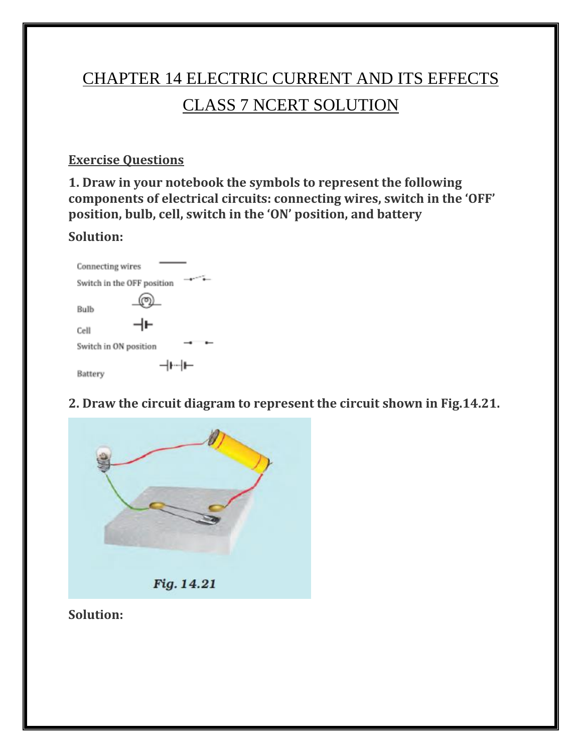# CHAPTER 14 ELECTRIC CURRENT AND ITS EFFECTS CLASS 7 NCERT SOLUTION

#### **Exercise Questions**

**1. Draw in your notebook the symbols to represent the following components of electrical circuits: connecting wires, switch in the 'OFF' position, bulb, cell, switch in the 'ON' position, and battery**

#### **Solution:**

| Connecting wires                      |  |
|---------------------------------------|--|
| $+$ $-$<br>Switch in the OFF position |  |
| Bulb<br>ᆉ<br>Cell                     |  |
| Switch in ON position                 |  |
| ⊣⊦┈∣⊢<br>Battery                      |  |

**2. Draw the circuit diagram to represent the circuit shown in Fig.14.21.**



**Solution:**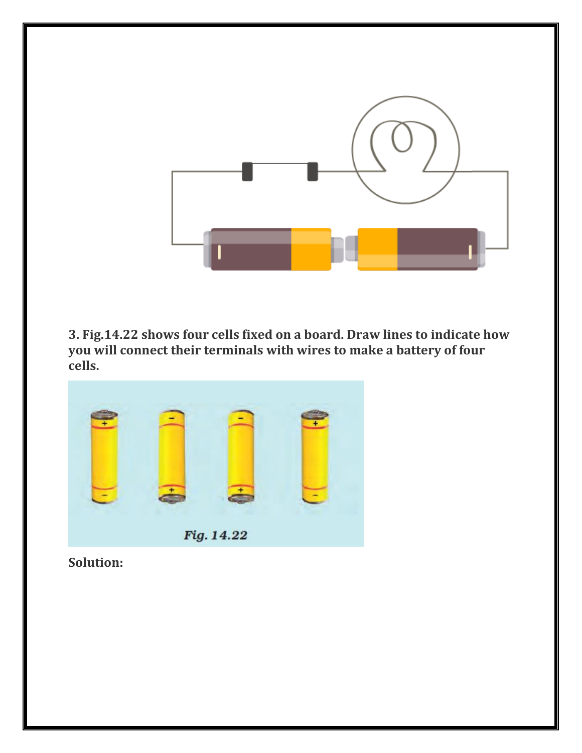

**3. Fig.14.22 shows four cells fixed on a board. Draw lines to indicate how you will connect their terminals with wires to make a battery of four cells.**



**Solution:**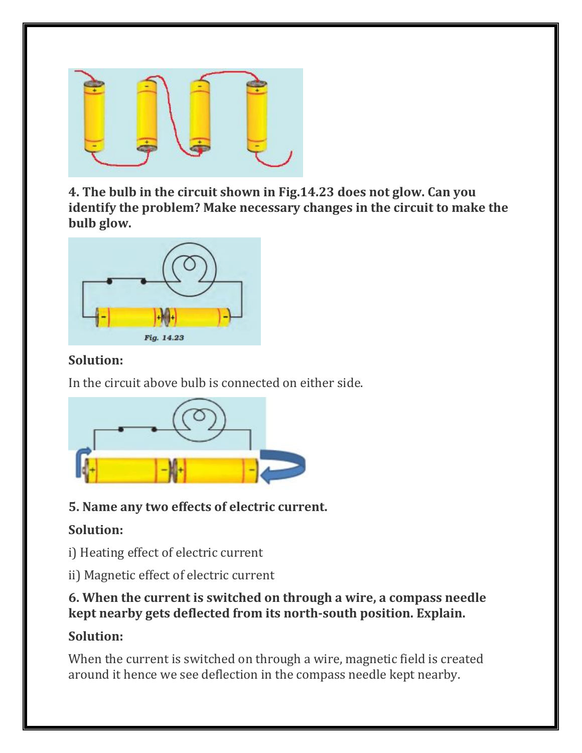

**4. The bulb in the circuit shown in Fig.14.23 does not glow. Can you identify the problem? Make necessary changes in the circuit to make the bulb glow.**



#### **Solution:**

In the circuit above bulb is connected on either side.



### **5. Name any two effects of electric current.**

### **Solution:**

i) Heating effect of electric current

ii) Magnetic effect of electric current

#### **6. When the current is switched on through a wire, a compass needle kept nearby gets deflected from its north-south position. Explain.**

## **Solution:**

When the current is switched on through a wire, magnetic field is created around it hence we see deflection in the compass needle kept nearby.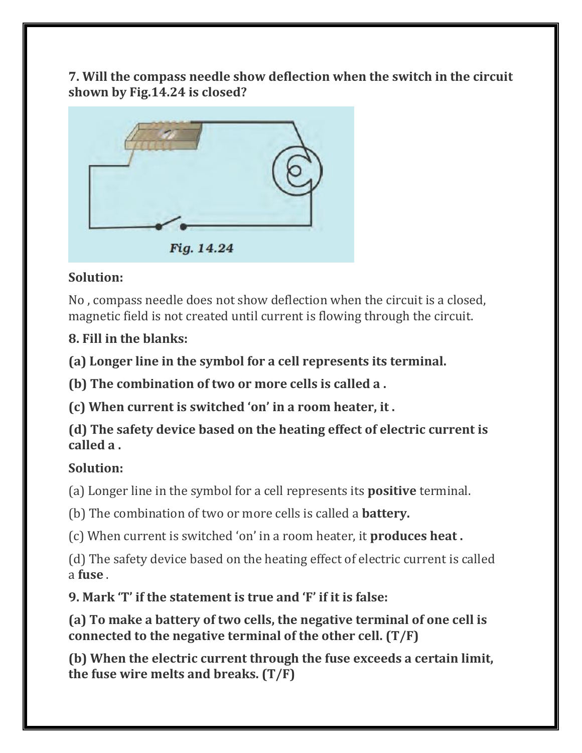**7. Will the compass needle show deflection when the switch in the circuit shown by Fig.14.24 is closed?**



#### **Solution:**

No , compass needle does not show deflection when the circuit is a closed, magnetic field is not created until current is flowing through the circuit.

### **8. Fill in the blanks:**

**(a) Longer line in the symbol for a cell represents its terminal.**

**(b) The combination of two or more cells is called a .**

**(c) When current is switched 'on' in a room heater, it .**

**(d) The safety device based on the heating effect of electric current is called a .**

### **Solution:**

(a) Longer line in the symbol for a cell represents its **positive** terminal.

(b) The combination of two or more cells is called a **battery.**

(c) When current is switched 'on' in a room heater, it **produces heat .**

(d) The safety device based on the heating effect of electric current is called a **fuse** .

**9. Mark 'T' if the statement is true and 'F' if it is false:**

**(a) To make a battery of two cells, the negative terminal of one cell is connected to the negative terminal of the other cell. (T/F)**

**(b) When the electric current through the fuse exceeds a certain limit, the fuse wire melts and breaks. (T/F)**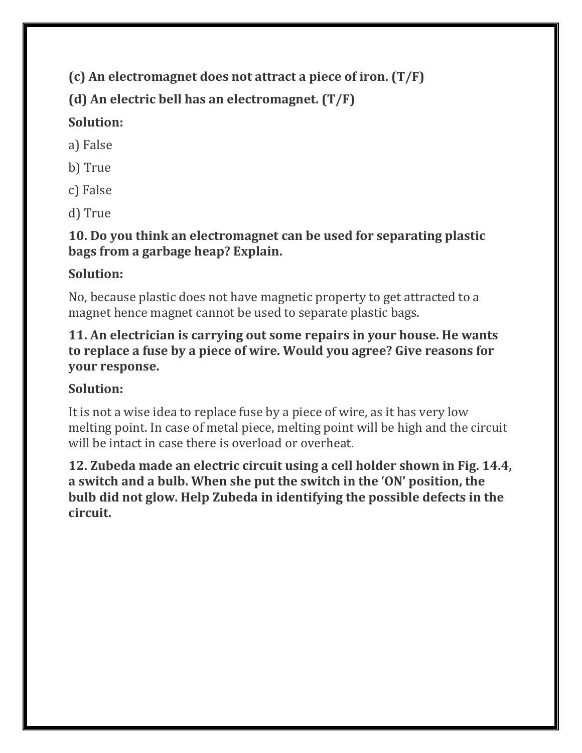**(c) An electromagnet does not attract a piece of iron. (T/F)**

**(d) An electric bell has an electromagnet. (T/F)**

## **Solution:**

a) False

- b) True
- c) False

d) True

**10. Do you think an electromagnet can be used for separating plastic bags from a garbage heap? Explain.**

## **Solution:**

No, because plastic does not have magnetic property to get attracted to a magnet hence magnet cannot be used to separate plastic bags.

#### **11. An electrician is carrying out some repairs in your house. He wants to replace a fuse by a piece of wire. Would you agree? Give reasons for your response.**

# **Solution:**

It is not a wise idea to replace fuse by a piece of wire, as it has very low melting point. In case of metal piece, melting point will be high and the circuit will be intact in case there is overload or overheat.

**12. Zubeda made an electric circuit using a cell holder shown in Fig. 14.4, a switch and a bulb. When she put the switch in the 'ON' position, the bulb did not glow. Help Zubeda in identifying the possible defects in the circuit.**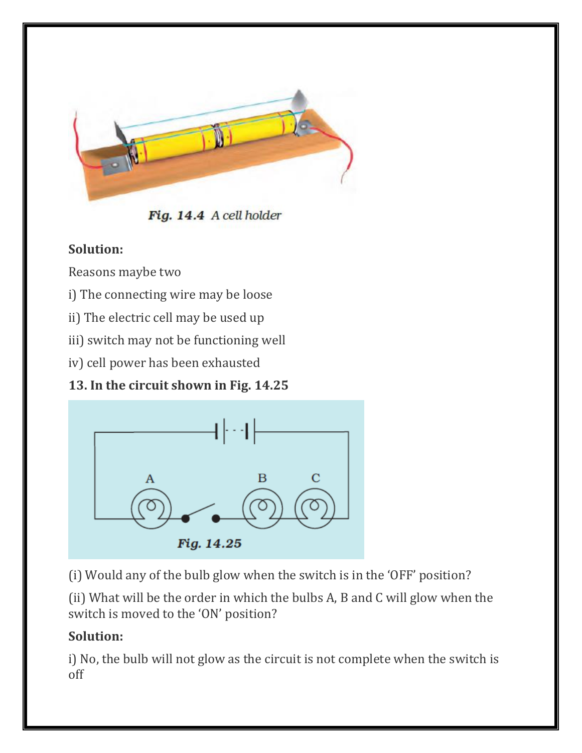

Fig. 14.4 A cell holder

### **Solution:**

Reasons maybe two

i) The connecting wire may be loose

ii) The electric cell may be used up

iii) switch may not be functioning well

iv) cell power has been exhausted

**13. In the circuit shown in Fig. 14.25**



(i) Would any of the bulb glow when the switch is in the 'OFF' position?

(ii) What will be the order in which the bulbs A, B and C will glow when the switch is moved to the 'ON' position?

### **Solution:**

i) No, the bulb will not glow as the circuit is not complete when the switch is off